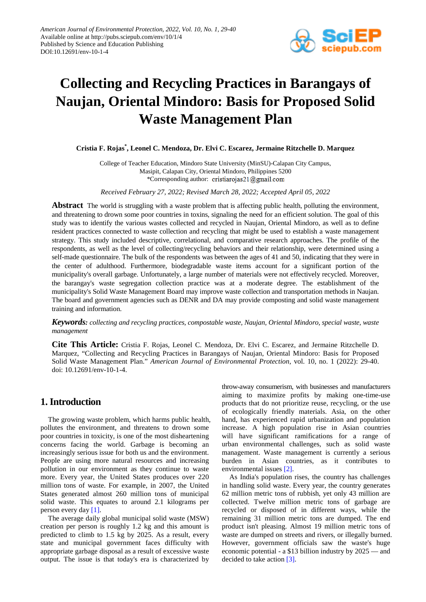

# **Collecting and Recycling Practices in Barangays of Naujan, Oriental Mindoro: Basis for Proposed Solid Waste Management Plan**

**Cristia F. Rojas\* , Leonel C. Mendoza, Dr. Elvi C. Escarez, Jermaine Ritzchelle D. Marquez**

College of Teacher Education, Mindoro State University (MinSU)-Calapan City Campus, Masipit, Calapan City, Oriental Mindoro, Philippines 5200 \*Corresponding author: cristiarojas21@gmail.com

*Received February 27, 2022; Revised March 28, 2022; Accepted April 05, 2022*

**Abstract** The world is struggling with a waste problem that is affecting public health, polluting the environment, and threatening to drown some poor countries in toxins, signaling the need for an efficient solution. The goal of this study was to identify the various wastes collected and recycled in Naujan, Oriental Mindoro, as well as to define resident practices connected to waste collection and recycling that might be used to establish a waste management strategy. This study included descriptive, correlational, and comparative research approaches. The profile of the respondents, as well as the level of collecting/recycling behaviors and their relationship, were determined using a self-made questionnaire. The bulk of the respondents was between the ages of 41 and 50, indicating that they were in the center of adulthood. Furthermore, biodegradable waste items account for a significant portion of the municipality's overall garbage. Unfortunately, a large number of materials were not effectively recycled. Moreover, the barangay's waste segregation collection practice was at a moderate degree. The establishment of the municipality's Solid Waste Management Board may improve waste collection and transportation methods in Naujan. The board and government agencies such as DENR and DA may provide composting and solid waste management training and information.

*Keywords: collecting and recycling practices, compostable waste, Naujan, Oriental Mindoro, special waste, waste management*

**Cite This Article:** Cristia F. Rojas, Leonel C. Mendoza, Dr. Elvi C. Escarez, and Jermaine Ritzchelle D. Marquez, "Collecting and Recycling Practices in Barangays of Naujan, Oriental Mindoro: Basis for Proposed Solid Waste Management Plan." *American Journal of Environmental Protection*, vol. 10, no. 1 (2022): 29-40. doi: 10.12691/env-10-1-4.

## **1. Introduction**

The growing waste problem, which harms public health, pollutes the environment, and threatens to drown some poor countries in toxicity, is one of the most disheartening concerns facing the world. Garbage is becoming an increasingly serious issue for both us and the environment. People are using more natural resources and increasing pollution in our environment as they continue to waste more. Every year, the United States produces over 220 million tons of waste. For example, in 2007, the United States generated almost 260 million tons of municipal solid waste. This equates to around 2.1 kilograms per person every day [\[1\].](#page-10-0)

The average daily global municipal solid waste (MSW) creation per person is roughly 1.2 kg and this amount is predicted to climb to 1.5 kg by 2025. As a result, every state and municipal government faces difficulty with appropriate garbage disposal as a result of excessive waste output. The issue is that today's era is characterized by throw-away consumerism, with businesses and manufacturers aiming to maximize profits by making one-time-use products that do not prioritize reuse, recycling, or the use of ecologically friendly materials. Asia, on the other hand, has experienced rapid urbanization and population increase. A high population rise in Asian countries will have significant ramifications for a range of urban environmental challenges, such as solid waste management. Waste management is currently a serious burden in Asian countries, as it contributes to environmental issues [\[2\].](#page-10-1)

As India's population rises, the country has challenges in handling solid waste. Every year, the country generates 62 million metric tons of rubbish, yet only 43 million are collected. Twelve million metric tons of garbage are recycled or disposed of in different ways, while the remaining 31 million metric tons are dumped. The end product isn't pleasing. Almost 19 million metric tons of waste are dumped on streets and rivers, or illegally burned. However, government officials saw the waste's huge economic potential - a \$13 billion industry by 2025 — and decided to take action [\[3\].](#page-10-2)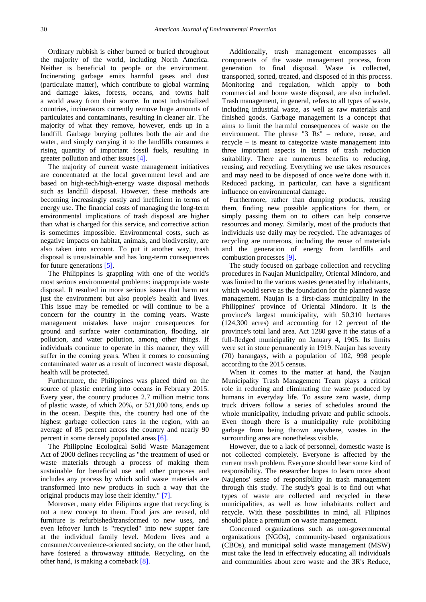Ordinary rubbish is either burned or buried throughout the majority of the world, including North America. Neither is beneficial to people or the environment. Incinerating garbage emits harmful gases and dust (particulate matter), which contribute to global warming and damage lakes, forests, oceans, and towns half a world away from their source. In most industrialized countries, incinerators currently remove huge amounts of particulates and contaminants, resulting in cleaner air. The majority of what they remove, however, ends up in a landfill. Garbage burying pollutes both the air and the water, and simply carrying it to the landfills consumes a rising quantity of important fossil fuels, resulting in greater pollution and other issues [\[4\].](#page-10-3)

The majority of current waste management initiatives are concentrated at the local government level and are based on high-tech/high-energy waste disposal methods such as landfill disposal. However, these methods are becoming increasingly costly and inefficient in terms of energy use. The financial costs of managing the long-term environmental implications of trash disposal are higher than what is charged for this service, and corrective action is sometimes impossible. Environmental costs, such as negative impacts on habitat, animals, and biodiversity, are also taken into account. To put it another way, trash disposal is unsustainable and has long-term consequences for future generations [\[5\].](#page-10-4)

The Philippines is grappling with one of the world's most serious environmental problems: inappropriate waste disposal. It resulted in more serious issues that harm not just the environment but also people's health and lives. This issue may be remedied or will continue to be a concern for the country in the coming years. Waste management mistakes have major consequences for ground and surface water contamination, flooding, air pollution, and water pollution, among other things. If individuals continue to operate in this manner, they will suffer in the coming years. When it comes to consuming contaminated water as a result of incorrect waste disposal, health will be protected.

Furthermore, the Philippines was placed third on the source of plastic entering into oceans in February 2015. Every year, the country produces 2.7 million metric tons of plastic waste, of which 20%, or 521,000 tons, ends up in the ocean. Despite this, the country had one of the highest garbage collection rates in the region, with an average of 85 percent across the country and nearly 90 percent in some densely populated area[s \[6\].](#page-10-5)

The Philippine Ecological Solid Waste Management Act of 2000 defines recycling as "the treatment of used or waste materials through a process of making them sustainable for beneficial use and other purposes and includes any process by which solid waste materials are transformed into new products in such a way that the original products may lose their identity." [\[7\].](#page-10-6)

Moreover, many elder Filipinos argue that recycling is not a new concept to them. Food jars are reused, old furniture is refurbished/transformed to new uses, and even leftover lunch is "recycled" into new supper fare at the individual family level. Modern lives and a consumer/convenience-oriented society, on the other hand, have fostered a throwaway attitude. Recycling, on the other hand, is making a comeback [\[8\].](#page-11-0)

Additionally, trash management encompasses all components of the waste management process, from generation to final disposal. Waste is collected, transported, sorted, treated, and disposed of in this process. Monitoring and regulation, which apply to both commercial and home waste disposal, are also included. Trash management, in general, refers to all types of waste, including industrial waste, as well as raw materials and finished goods. Garbage management is a concept that aims to limit the harmful consequences of waste on the environment. The phrase "3 Rs" – reduce, reuse, and recycle – is meant to categorize waste management into three important aspects in terms of trash reduction suitability. There are numerous benefits to reducing, reusing, and recycling. Everything we use takes resources and may need to be disposed of once we're done with it. Reduced packing, in particular, can have a significant influence on environmental damage.

Furthermore, rather than dumping products, reusing them, finding new possible applications for them, or simply passing them on to others can help conserve resources and money. Similarly, most of the products that individuals use daily may be recycled. The advantages of recycling are numerous, including the reuse of materials and the generation of energy from landfills and combustion processes [\[9\].](#page-11-1)

The study focused on garbage collection and recycling procedures in Naujan Municipality, Oriental Mindoro, and was limited to the various wastes generated by inhabitants, which would serve as the foundation for the planned waste management. Naujan is a first-class municipality in the Philippines' province of Oriental Mindoro. It is the province's largest municipality, with 50,310 hectares (124,300 acres) and accounting for 12 percent of the province's total land area. Act 1280 gave it the status of a full-fledged municipality on January 4, 1905. Its limits were set in stone permanently in 1919. Naujan has seventy (70) barangays, with a population of 102, 998 people according to the 2015 census.

When it comes to the matter at hand, the Naujan Municipality Trash Management Team plays a critical role in reducing and eliminating the waste produced by humans in everyday life. To assure zero waste, dump truck drivers follow a series of schedules around the whole municipality, including private and public schools. Even though there is a municipality rule prohibiting garbage from being thrown anywhere, wastes in the surrounding area are nonetheless visible.

However, due to a lack of personnel, domestic waste is not collected completely. Everyone is affected by the current trash problem. Everyone should bear some kind of responsibility. The researcher hopes to learn more about Naujenos' sense of responsibility in trash management through this study. The study's goal is to find out what types of waste are collected and recycled in these municipalities, as well as how inhabitants collect and recycle. With these possibilities in mind, all Filipinos should place a premium on waste management.

Concerned organizations such as non-governmental organizations (NGOs), community-based organizations (CBOs), and municipal solid waste management (MSW) must take the lead in effectively educating all individuals and communities about zero waste and the 3R's Reduce,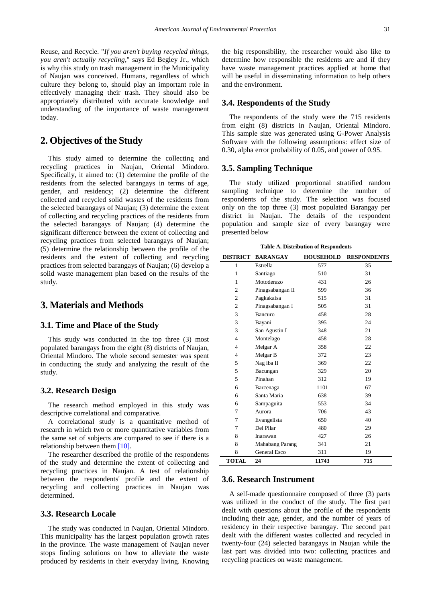Reuse, and Recycle. "*If you aren't buying recycled things, you aren't actually recycling*," says Ed Begley Jr., which is why this study on trash management in the Municipality of Naujan was conceived. Humans, regardless of which culture they belong to, should play an important role in effectively managing their trash. They should also be appropriately distributed with accurate knowledge and understanding of the importance of waste management today.

## **2. Objectives of the Study**

This study aimed to determine the collecting and recycling practices in Naujan, Oriental Mindoro. Specifically, it aimed to: (1) determine the profile of the residents from the selected barangays in terms of age, gender, and residency; (2) determine the different collected and recycled solid wastes of the residents from the selected barangays of Naujan; (3) determine the extent of collecting and recycling practices of the residents from the selected barangays of Naujan; (4) determine the significant difference between the extent of collecting and recycling practices from selected barangays of Naujan; (5) determine the relationship between the profile of the residents and the extent of collecting and recycling practices from selected barangays of Naujan; (6) develop a solid waste management plan based on the results of the study.

## **3. Materials and Methods**

## **3.1. Time and Place of the Study**

This study was conducted in the top three (3) most populated barangays from the eight (8) districts of Naujan, Oriental Mindoro. The whole second semester was spent in conducting the study and analyzing the result of the study.

#### **3.2. Research Design**

The research method employed in this study was descriptive correlational and comparative.

A correlational study is a quantitative method of research in which two or more quantitative variables from the same set of subjects are compared to see if there is a relationship between the[m \[10\].](#page-11-2)

The researcher described the profile of the respondents of the study and determine the extent of collecting and recycling practices in Naujan. A test of relationship between the respondents' profile and the extent of recycling and collecting practices in Naujan was determined.

### **3.3. Research Locale**

The study was conducted in Naujan, Oriental Mindoro. This municipality has the largest population growth rates in the province. The waste management of Naujan never stops finding solutions on how to alleviate the waste produced by residents in their everyday living. Knowing the big responsibility, the researcher would also like to determine how responsible the residents are and if they have waste management practices applied at home that will be useful in disseminating information to help others and the environment.

#### **3.4. Respondents of the Study**

The respondents of the study were the 715 residents from eight (8) districts in Naujan, Oriental Mindoro. This sample size was generated using G-Power Analysis Software with the following assumptions: effect size of 0.30, alpha error probability of 0.05, and power of 0.95.

#### **3.5. Sampling Technique**

The study utilized proportional stratified random sampling technique to determine the number of respondents of the study. The selection was focused only on the top three (3) most populated Barangay per district in Naujan. The details of the respondent population and sample size of every barangay were presented below

| <b>Table A. Distribution of Respondents</b> |  |  |  |  |
|---------------------------------------------|--|--|--|--|
|---------------------------------------------|--|--|--|--|

| <b>DISTRICT</b> | <b>BARANGAY</b>  | <b>HOUSEHOLD</b> | <b>RESPONDENTS</b> |
|-----------------|------------------|------------------|--------------------|
| 1               | Estrella         | 577              | 35                 |
| 1               | Santiago         | 510              | 31                 |
| 1               | Motoderazo       | 431              | 26                 |
| $\overline{c}$  | Pinagsabangan II | 599              | 36                 |
| $\overline{c}$  | Pagkakaisa       | 515              | 31                 |
| $\overline{c}$  | Pinagsabangan I  | 505              | 31                 |
| 3               | Bancuro          | 458              | 28                 |
| 3               | Bayani           | 395              | 24                 |
| 3               | San Agustin I    | 348              | 21                 |
| $\overline{4}$  | Montelago        | 458              | 28                 |
| $\overline{4}$  | Melgar A         | 358              | 22                 |
| $\overline{4}$  | Melgar B         | 372              | 23                 |
| 5               | Nag iba II       | 369              | 22                 |
| 5               | Bacungan         | 329              | 20                 |
| 5               | Pinahan          | 312              | 19                 |
| 6               | Barcenaga        | 1101             | 67                 |
| 6               | Santa Maria      | 638              | 39                 |
| 6               | Sampaguita       | 553              | 34                 |
| 7               | Aurora           | 706              | 43                 |
| 7               | Evangelista      | 650              | 40                 |
| 7               | Del Pilar        | 480              | 29                 |
| 8               | Inarawan         | 427              | 26                 |
| 8               | Mahabang Parang  | 341              | 21                 |
| 8               | General Esco     | 311              | 19                 |
| <b>TOTAL</b>    | 24               | 11743            | 715                |

#### **3.6. Research Instrument**

A self-made questionnaire composed of three (3) parts was utilized in the conduct of the study. The first part dealt with questions about the profile of the respondents including their age, gender, and the number of years of residency in their respective barangay. The second part dealt with the different wastes collected and recycled in twenty-four (24) selected barangays in Naujan while the last part was divided into two: collecting practices and recycling practices on waste management.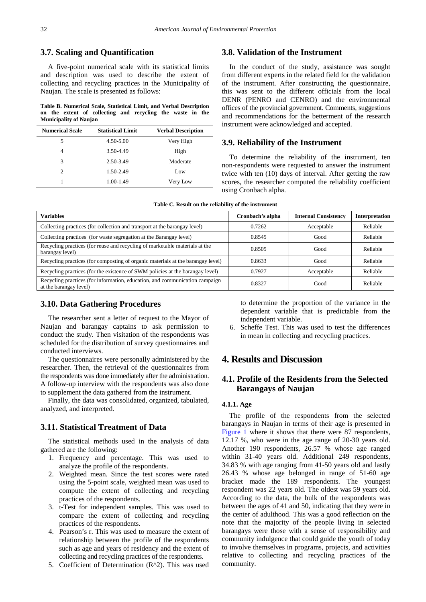### **3.7. Scaling and Quantification**

A five-point numerical scale with its statistical limits and description was used to describe the extent of collecting and recycling practices in the Municipality of Naujan. The scale is presented as follows:

**Table B. Numerical Scale, Statistical Limit, and Verbal Description on the extent of collecting and recycling the waste in the Municipality of Naujan**

| <b>Numerical Scale</b>      | <b>Statistical Limit</b> | <b>Verbal Description</b> |
|-----------------------------|--------------------------|---------------------------|
| 5                           | 4.50-5.00                | Very High                 |
| 4                           | 3.50-4.49                | High                      |
| 3                           | 2.50-3.49                | Moderate                  |
| $\mathcal{D}_{\mathcal{L}}$ | 1.50-2.49                | Low                       |
| 1                           | 1.00-1.49                | Very Low                  |

#### **3.8. Validation of the Instrument**

In the conduct of the study, assistance was sought from different experts in the related field for the validation of the instrument. After constructing the questionnaire, this was sent to the different officials from the local DENR (PENRO and CENRO) and the environmental offices of the provincial government. Comments, suggestions and recommendations for the betterment of the research instrument were acknowledged and accepted.

#### **3.9. Reliability of the Instrument**

To determine the reliability of the instrument, ten non-respondents were requested to answer the instrument twice with ten (10) days of interval. After getting the raw scores, the researcher computed the reliability coefficient using Cronbach alpha.

| <b>Variables</b>                                                                                      | Cronbach's alpha | <b>Internal Consistency</b> | Interpretation |
|-------------------------------------------------------------------------------------------------------|------------------|-----------------------------|----------------|
| Collecting practices (for collection and transport at the barangay level)                             | 0.7262           | Acceptable                  | Reliable       |
| Collecting practices (for waste segregation at the Barangay level)                                    | 0.8545           | Good                        | Reliable       |
| Recycling practices (for reuse and recycling of marketable materials at the<br>barangay level)        | 0.8505           | Good                        | Reliable       |
| Recycling practices (for composting of organic materials at the barangay level)                       | 0.8633           | Good                        | Reliable       |
| Recycling practices (for the existence of SWM policies at the barangay level)                         | 0.7927           | Acceptable                  | Reliable       |
| Recycling practices (for information, education, and communication campaign<br>at the barangay level) | 0.8327           | Good                        | Reliable       |

#### **3.10. Data Gathering Procedures**

The researcher sent a letter of request to the Mayor of Naujan and barangay captains to ask permission to conduct the study. Then visitation of the respondents was scheduled for the distribution of survey questionnaires and conducted interviews.

The questionnaires were personally administered by the researcher. Then, the retrieval of the questionnaires from the respondents was done immediately after the administration. A follow-up interview with the respondents was also done to supplement the data gathered from the instrument.

Finally, the data was consolidated, organized, tabulated, analyzed, and interpreted.

#### **3.11. Statistical Treatment of Data**

The statistical methods used in the analysis of data gathered are the following:

- 1. Frequency and percentage. This was used to analyze the profile of the respondents.
- 2. Weighted mean. Since the test scores were rated using the 5-point scale, weighted mean was used to compute the extent of collecting and recycling practices of the respondents.
- 3. t-Test for independent samples. This was used to compare the extent of collecting and recycling practices of the respondents.
- 4. Pearson's r. This was used to measure the extent of relationship between the profile of the respondents such as age and years of residency and the extent of collecting and recycling practices of the respondents.
- 5. Coefficient of Determination (R^2). This was used

to determine the proportion of the variance in the dependent variable that is predictable from the independent variable.

6. Scheffe Test. This was used to test the differences in mean in collecting and recycling practices.

# **4. Results and Discussion**

## **4.1. Profile of the Residents from the Selected Barangays of Naujan**

#### **4.1.1. Age**

The profile of the respondents from the selected barangays in Naujan in terms of their age is presented in [Figure 1](#page-4-0) where it shows that there were 87 respondents, 12.17 %, who were in the age range of 20-30 years old. Another 190 respondents, 26.57 % whose age ranged within 31-40 years old. Additional 249 respondents, 34.83 % with age ranging from 41-50 years old and lastly 26.43 % whose age belonged in range of 51-60 age bracket made the 189 respondents. The youngest respondent was 22 years old. The oldest was 59 years old. According to the data, the bulk of the respondents was between the ages of 41 and 50, indicating that they were in the center of adulthood. This was a good reflection on the note that the majority of the people living in selected barangays were those with a sense of responsibility and community indulgence that could guide the youth of today to involve themselves in programs, projects, and activities relative to collecting and recycling practices of the community.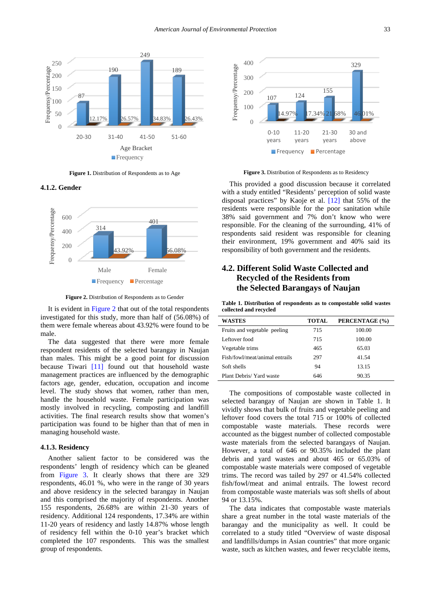<span id="page-4-0"></span>

**Figure 1.** Distribution of Respondents as to Age

**4.1.2. Gender**

<span id="page-4-1"></span>

**Figure 2.** Distribution of Respondents as to Gender

It is evident in [Figure 2](#page-4-1) that out of the total respondents investigated for this study, more than half of (56.08%) of them were female whereas about 43.92% were found to be male.

The data suggested that there were more female respondent residents of the selected barangay in Naujan than males. This might be a good point for discussion because Tiwari [\[11\]](#page-11-3) found out that household waste management practices are influenced by the demographic factors age, gender, education, occupation and income level. The study shows that women, rather than men, handle the household waste. Female participation was mostly involved in recycling, composting and landfill activities. The final research results show that women's participation was found to be higher than that of men in managing household waste.

#### **4.1.3. Residency**

Another salient factor to be considered was the respondents' length of residency which can be gleaned from [Figure 3.](#page-4-2) It clearly shows that there are 329 respondents, 46.01 %, who were in the range of 30 years and above residency in the selected barangay in Naujan and this comprised the majority of respondents. Another 155 respondents, 26.68% are within 21-30 years of residency. Additional 124 respondents, 17.34% are within 11-20 years of residency and lastly 14.87% whose length of residency fell within the 0-10 year's bracket which completed the 107 respondents. This was the smallest group of respondents.

<span id="page-4-2"></span>

**Figure 3.** Distribution of Respondents as to Residency

This provided a good discussion because it correlated with a study entitled "Residents' perception of solid waste disposal practices" by Kaoje et al. [\[12\]](#page-11-4) that 55% of the residents were responsible for the poor sanitation while 38% said government and 7% don't know who were responsible. For the cleaning of the surrounding, 41% of respondents said resident was responsible for cleaning their environment, 19% government and 40% said its responsibility of both government and the residents.

## **4.2. Different Solid Waste Collected and Recycled of the Residents from the Selected Barangays of Naujan**

**Table 1. Distribution of respondents as to compostable solid wastes collected and recycled**

| <b>WASTES</b>                  | TOTAL | PERCENTAGE (%) |
|--------------------------------|-------|----------------|
| Fruits and vegetable peeling   | 715   | 100.00         |
| Leftover food                  | 715   | 100.00         |
| Vegetable trims                | 465   | 65.03          |
| Fish/fowl/meat/animal entrails | 297   | 41.54          |
| Soft shells                    | 94    | 13.15          |
| Plant Debris/ Yard waste       | 646   | 90.35          |

The compositions of compostable waste collected in selected barangay of Naujan are shown in Table 1. It vividly shows that bulk of fruits and vegetable peeling and leftover food covers the total 715 or 100% of collected compostable waste materials. These records were accounted as the biggest number of collected compostable waste materials from the selected barangays of Naujan. However, a total of 646 or 90.35% included the plant debris and yard wastes and about 465 or 65.03% of compostable waste materials were composed of vegetable trims. The record was tailed by 297 or 41.54% collected fish/fowl/meat and animal entrails. The lowest record from compostable waste materials was soft shells of about 94 or 13.15%.

The data indicates that compostable waste materials share a great number in the total waste materials of the barangay and the municipality as well. It could be correlated to a study titled "Overview of waste disposal and landfills/dumps in Asian countries" that more organic waste, such as kitchen wastes, and fewer recyclable items,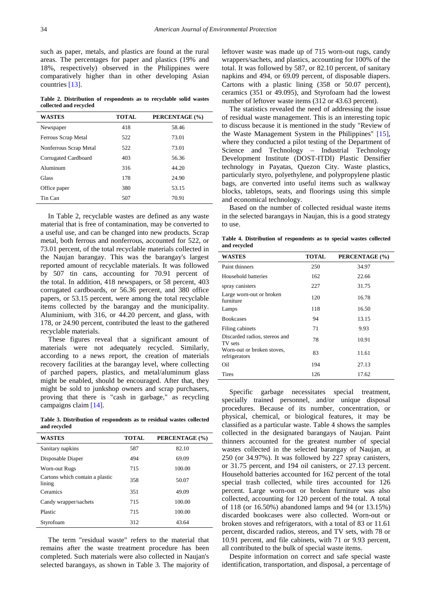such as paper, metals, and plastics are found at the rural areas. The percentages for paper and plastics (19% and 18%, respectively) observed in the Philippines were comparatively higher than in other developing Asian countries [\[13\].](#page-11-5)

**Table 2. Distribution of respondents as to recyclable solid wastes collected and recycled**

| <b>WASTES</b>          | <b>TOTAL</b> | PERCENTAGE (%) |
|------------------------|--------------|----------------|
| Newspaper              | 418          | 58.46          |
| Ferrous Scrap Metal    | 522          | 73.01          |
| Nonferrous Scrap Metal | 522          | 73.01          |
| Corrugated Cardboard   | 403          | 56.36          |
| Aluminum               | 316          | 44.20          |
| <b>Glass</b>           | 178          | 24.90          |
| Office paper           | 380          | 53.15          |
| Tin Can                | 507          | 70.91          |

In Table 2, recyclable wastes are defined as any waste material that is free of contamination, may be converted to a useful use, and can be changed into new products. Scrap metal, both ferrous and nonferrous, accounted for 522, or 73.01 percent, of the total recyclable materials collected in the Naujan barangay. This was the barangay's largest reported amount of recyclable materials. It was followed by 507 tin cans, accounting for 70.91 percent of the total. In addition, 418 newspapers, or 58 percent, 403 corrugated cardboards, or 56.36 percent, and 380 office papers, or 53.15 percent, were among the total recyclable items collected by the barangay and the municipality. Aluminium, with 316, or 44.20 percent, and glass, with 178, or 24.90 percent, contributed the least to the gathered recyclable materials.

These figures reveal that a significant amount of materials were not adequately recycled. Similarly, according to a news report, the creation of materials recovery facilities at the barangay level, where collecting of parched papers, plastics, and metal/aluminum glass might be enabled, should be encouraged. After that, they might be sold to junkshop owners and scrap purchasers, proving that there is "cash in garbage," as recycling campaigns clai[m \[14\].](#page-11-6) 

**Table 3. Distribution of respondents as to residual wastes collected and recycled**

| <b>WASTES</b>                             | <b>TOTAL</b> | PERCENTAGE (%) |
|-------------------------------------------|--------------|----------------|
| Sanitary napkins                          | 587          | 82.10          |
| Disposable Diaper                         | 494          | 69.09          |
| Worn-out Rugs                             | 715          | 100.00         |
| Cartons which contain a plastic<br>lining | 358          | 50.07          |
| Ceramics                                  | 351          | 49.09          |
| Candy wrapper/sachets                     | 715          | 100.00         |
| Plastic                                   | 715          | 100.00         |
| Styrofoam                                 | 312          | 43.64          |

The term "residual waste" refers to the material that remains after the waste treatment procedure has been completed. Such materials were also collected in Naujan's selected barangays, as shown in Table 3. The majority of leftover waste was made up of 715 worn-out rugs, candy wrappers/sachets, and plastics, accounting for 100% of the total. It was followed by 587, or 82.10 percent, of sanitary napkins and 494, or 69.09 percent, of disposable diapers. Cartons with a plastic lining (358 or 50.07 percent), ceramics (351 or 49.095), and Styrofoam had the lowest number of leftover waste items (312 or 43.63 percent).

The statistics revealed the need of addressing the issue of residual waste management. This is an interesting topic to discuss because it is mentioned in the study "Review of the Waste Management System in the Philippines" [\[15\],](#page-11-7) where they conducted a pilot testing of the Department of Science and Technology – Industrial Technology Development Institute (DOST-ITDI) Plastic Densifier technology in Payatas, Quezon City. Waste plastics, particularly styro, polyethylene, and polypropylene plastic bags, are converted into useful items such as walkway blocks, tabletops, seats, and floorings using this simple and economical technology.

Based on the number of collected residual waste items in the selected barangays in Naujan, this is a good strategy to use.

**Table 4. Distribution of respondents as to special wastes collected and recycled**

| <b>WASTES</b>                               | <b>TOTAL</b> | PERCENTAGE (%) |
|---------------------------------------------|--------------|----------------|
| Paint thinners                              | 250          | 34.97          |
| Household batteries                         | 162          | 22.66          |
| spray canisters                             | 227          | 31.75          |
| Large worn-out or broken<br>furniture       | 120          | 16.78          |
| Lamps                                       | 118          | 16.50          |
| <b>Bookcases</b>                            | 94           | 13.15          |
| Filing cabinets                             | 71           | 9.93           |
| Discarded radios, stereos and<br>TV sets    | 78           | 10.91          |
| Worn-out or broken stoves,<br>refrigerators | 83           | 11.61          |
| Oil                                         | 194          | 27.13          |
| <b>Tires</b>                                | 126          | 17.62          |

Specific garbage necessitates special treatment, specially trained personnel, and/or unique disposal procedures. Because of its number, concentration, or physical, chemical, or biological features, it may be classified as a particular waste. Table 4 shows the samples collected in the designated barangays of Naujan. Paint thinners accounted for the greatest number of special wastes collected in the selected barangay of Naujan, at 250 (or 34.97%). It was followed by 227 spray canisters, or 31.75 percent, and 194 oil canisters, or 27.13 percent. Household batteries accounted for 162 percent of the total special trash collected, while tires accounted for 126 percent. Large worn-out or broken furniture was also collected, accounting for 120 percent of the total. A total of 118 (or 16.50%) abandoned lamps and 94 (or 13.15%) discarded bookcases were also collected. Worn-out or broken stoves and refrigerators, with a total of 83 or 11.61 percent, discarded radios, stereos, and TV sets, with 78 or 10.91 percent, and file cabinets, with 71 or 9.93 percent, all contributed to the bulk of special waste items.

Despite information on correct and safe special waste identification, transportation, and disposal, a percentage of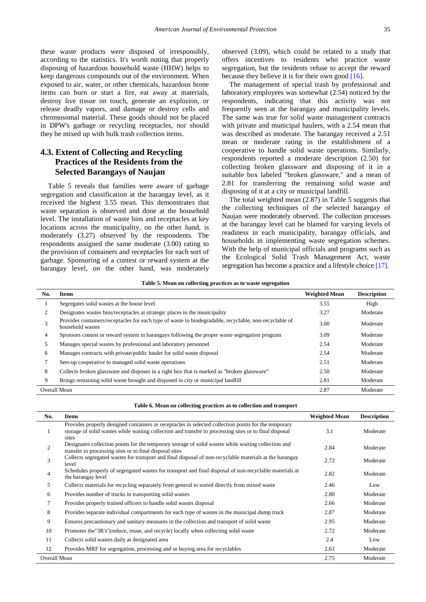these waste products were disposed of irresponsibly, according to the statistics. It's worth noting that properly disposing of hazardous household waste (HHW) helps to keep dangerous compounds out of the environment. When exposed to air, water, or other chemicals, hazardous home items can burn or start a fire, eat away at materials, destroy live tissue on touch, generate an explosion, or release deadly vapors, and damage or destroy cells and chromosomal material. These goods should not be placed in DPW's garbage or recycling receptacles, nor should they be mixed up with bulk trash collection items.

## **4.3. Extent of Collecting and Recycling Practices of the Residents from the Selected Barangays of Naujan**

Table 5 reveals that families were aware of garbage segregation and classification at the barangay level, as it received the highest 3.55 mean. This demonstrates that waste separation is observed and done at the household level. The installation of waste bins and receptacles at key locations across the municipality, on the other hand, is moderately (3.27) observed by the respondents. The respondents assigned the same moderate (3.00) rating to the provision of containers and receptacles for each sort of garbage. Sponsoring of a contest or reward system at the barangay level, on the other hand, was moderately

observed (3.09), which could be related to a study that offers incentives to residents who practice waste segregation, but the residents refuse to accept the reward because they believe it is for their own good [\[16\].](#page-11-8)

The management of special trash by professional and laboratory employees was somewhat (2.54) noticed by the respondents, indicating that this activity was not frequently seen at the barangay and municipality levels. The same was true for solid waste management contracts with private and municipal haulers, with a 2.54 mean that was described as moderate. The barangay received a 2.51 mean or moderate rating in the establishment of a cooperative to handle solid waste operations. Similarly, respondents reported a moderate description (2.50) for collecting broken glassware and disposing of it in a suitable box labeled "broken glassware," and a mean of 2.81 for transferring the remaining solid waste and disposing of it at a city or municipal landfill.

The total weighted mean (2.87) in Table 5 suggests that the collecting techniques of the selected barangay of Naujan were moderately observed. The collection processes at the barangay level can be blamed for varying levels of readiness in each municipality, barangay officials, and households in implementing waste segregation schemes. With the help of municipal officials and programs such as the Ecological Solid Trash Management Act, waste segregation has become a practice and a lifestyle choice [\[17\].](#page-11-9)

|  |  |  |  |  |  | Table 5. Mean on collecting practices as to waste segregation |  |  |  |  |  |  |  |
|--|--|--|--|--|--|---------------------------------------------------------------|--|--|--|--|--|--|--|
|--|--|--|--|--|--|---------------------------------------------------------------|--|--|--|--|--|--|--|

| No. | <b>Items</b>                                                                                                               | <b>Weighted Mean</b> | <b>Description</b> |
|-----|----------------------------------------------------------------------------------------------------------------------------|----------------------|--------------------|
|     | Segregates solid wastes at the house level                                                                                 | 3.55                 | High               |
|     | Designates wastes bins/receptacles at strategic places in the municipality                                                 | 3.27                 | Moderate           |
| 3   | Provides containers/receptacles for each type of waste to biodegradable, recyclable, non-recyclable of<br>household wastes | 3.00                 | Moderate           |
| 4   | Sponsors contest or reward system in barangays following the proper waste segregation program                              | 3.09                 | Moderate           |
| 5   | Manages special wastes by professional and laboratory personnel                                                            | 2.54                 | Moderate           |
| 6   | Manages contracts with private/public hauler for solid waste disposal                                                      | 2.54                 | Moderate           |
|     | Sets-up cooperative to managed solid waste operations                                                                      | 2.51                 | Moderate           |
| 8   | Collects broken glassware and disposes in a right box that is marked as "broken glassware"                                 | 2.50                 | Moderate           |
| 9   | Brings remaining solid waste brought and disposed in city or municipal landfill                                            | 2.81                 | Moderate           |
|     | <b>Overall Mean</b>                                                                                                        | 2.87                 | Moderate           |

| Table 6. Mean on collecting practices as to collection and transport |  |  |  |
|----------------------------------------------------------------------|--|--|--|
|                                                                      |  |  |  |

| No.          | <b>Items</b>                                                                                                                                                                                                            | <b>Weighted Mean</b> | <b>Description</b> |
|--------------|-------------------------------------------------------------------------------------------------------------------------------------------------------------------------------------------------------------------------|----------------------|--------------------|
|              | Provides properly designed containers or receptacles in selected collection points for the temporary<br>storage of solid wastes while waiting collection and transfer to processing sites or to final disposal<br>sites | 3.1                  | Moderate           |
| 2            | Designates collection points for the temporary storage of solid wastes while waiting collection and<br>transfer to processing sites or to final disposal sites                                                          | 2.84                 | Moderate           |
| 3            | Collects segregated wastes for transport and final disposal of non-recyclable materials at the barangay<br>level                                                                                                        | 2.72                 | Moderate           |
|              | Schedules properly of segregated wastes for transport and final disposal of non-recyclable materials at<br>the barangay level                                                                                           | 2.82                 | Moderate           |
| 5            | Collects materials for recycling separately from general to sorted directly from mixed waste                                                                                                                            | 2.46                 | Low                |
| 6            | Provides number of trucks in transporting solid wastes                                                                                                                                                                  | 2.80                 | Moderate           |
| 7            | Provides properly trained officers to handle solid wastes disposal                                                                                                                                                      | 2.66                 | Moderate           |
| 8            | Provides separate individual compartments for each type of wastes in the municipal dump truck                                                                                                                           | 2.87                 | Moderate           |
| 9            | Ensures precautionary and sanitary measures in the collection and transport of solid waste                                                                                                                              | 2.95                 | Moderate           |
| 10           | Promotes the "3R's" (reduce, reuse, and recycle) locally when collecting solid waste                                                                                                                                    | 2.72                 | Moderate           |
| 11           | Collects solid wastes daily at designated area                                                                                                                                                                          | 2.4                  | Low                |
| 12           | Provides MRF for segregation, processing and or buying area for recyclables                                                                                                                                             | 2.63                 | Moderate           |
| Overall Mean |                                                                                                                                                                                                                         | 2.75                 | Moderate           |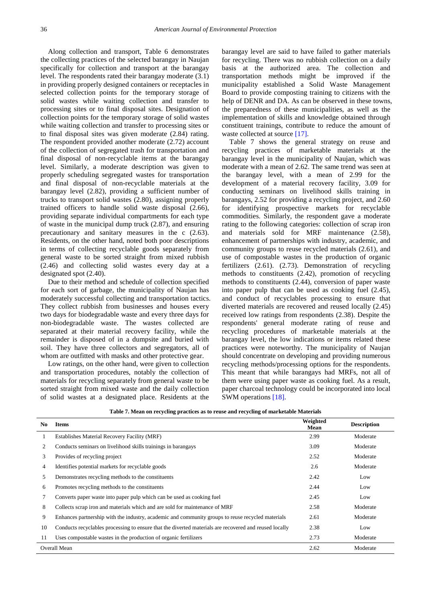Along collection and transport, Table 6 demonstrates the collecting practices of the selected barangay in Naujan specifically for collection and transport at the barangay level. The respondents rated their barangay moderate (3.1) in providing properly designed containers or receptacles in selected collection points for the temporary storage of solid wastes while waiting collection and transfer to processing sites or to final disposal sites. Designation of collection points for the temporary storage of solid wastes while waiting collection and transfer to processing sites or to final disposal sites was given moderate (2.84) rating. The respondent provided another moderate (2.72) account of the collection of segregated trash for transportation and final disposal of non-recyclable items at the barangay level. Similarly, a moderate description was given to properly scheduling segregated wastes for transportation and final disposal of non-recyclable materials at the barangay level (2.82), providing a sufficient number of trucks to transport solid wastes (2.80), assigning properly trained officers to handle solid waste disposal (2.66), providing separate individual compartments for each type of waste in the municipal dump truck (2.87), and ensuring precautionary and sanitary measures in the c (2.63). Residents, on the other hand, noted both poor descriptions in terms of collecting recyclable goods separately from general waste to be sorted straight from mixed rubbish (2.46) and collecting solid wastes every day at a designated spot (2.40).

Due to their method and schedule of collection specified for each sort of garbage, the municipality of Naujan has moderately successful collecting and transportation tactics. They collect rubbish from businesses and houses every two days for biodegradable waste and every three days for non-biodegradable waste. The wastes collected are separated at their material recovery facility, while the remainder is disposed of in a dumpsite and buried with soil. They have three collectors and segregators, all of whom are outfitted with masks and other protective gear.

Low ratings, on the other hand, were given to collection and transportation procedures, notably the collection of materials for recycling separately from general waste to be sorted straight from mixed waste and the daily collection of solid wastes at a designated place. Residents at the

barangay level are said to have failed to gather materials for recycling. There was no rubbish collection on a daily basis at the authorized area. The collection and transportation methods might be improved if the municipality established a Solid Waste Management Board to provide composting training to citizens with the help of DENR and DA. As can be observed in these towns, the preparedness of these municipalities, as well as the implementation of skills and knowledge obtained through constituent trainings, contribute to reduce the amount of waste collected at source [\[17\].](#page-11-9)

Table 7 shows the general strategy on reuse and recycling practices of marketable materials at the barangay level in the municipality of Naujan, which was moderate with a mean of 2.62. The same trend was seen at the barangay level, with a mean of 2.99 for the development of a material recovery facility, 3.09 for conducting seminars on livelihood skills training in barangays, 2.52 for providing a recycling project, and 2.60 for identifying prospective markets for recyclable commodities. Similarly, the respondent gave a moderate rating to the following categories: collection of scrap iron and materials sold for MRF maintenance (2.58), enhancement of partnerships with industry, academic, and community groups to reuse recycled materials (2.61), and use of compostable wastes in the production of organic fertilizers (2.61). (2.73). Demonstration of recycling methods to constituents (2.42), promotion of recycling methods to constituents (2.44), conversion of paper waste into paper pulp that can be used as cooking fuel (2.45), and conduct of recyclables processing to ensure that diverted materials are recovered and reused locally (2.45) received low ratings from respondents (2.38). Despite the respondents' general moderate rating of reuse and recycling procedures of marketable materials at the barangay level, the low indications or items related these practices were noteworthy. The municipality of Naujan should concentrate on developing and providing numerous recycling methods/processing options for the respondents. This meant that while barangays had MRFs, not all of them were using paper waste as cooking fuel. As a result, paper charcoal technology could be incorporated into local SWM operation[s \[18\].](#page-11-10)

| No. | Items                                                                                                  | Weighted<br>Mean | <b>Description</b> |
|-----|--------------------------------------------------------------------------------------------------------|------------------|--------------------|
|     | Establishes Material Recovery Facility (MRF)                                                           | 2.99             | Moderate           |
| 2   | Conducts seminars on livelihood skills trainings in barangays                                          | 3.09             | Moderate           |
| 3   | Provides of recycling project                                                                          | 2.52             | Moderate           |
| 4   | Identifies potential markets for recyclable goods                                                      | 2.6              | Moderate           |
| 5   | Demonstrates recycling methods to the constituents                                                     | 2.42             | Low                |
| 6   | Promotes recycling methods to the constituents                                                         | 2.44             | Low                |
|     | Converts paper waste into paper pulp which can be used as cooking fuel                                 | 2.45             | Low                |
| 8   | Collects scrap iron and materials which and are sold for maintenance of MRF                            | 2.58             | Moderate           |
| 9   | Enhances partnership with the industry, academic and community groups to reuse recycled materials      | 2.61             | Moderate           |
| 10  | Conducts recyclables processing to ensure that the diverted materials are recovered and reused locally | 2.38             | Low                |
| 11  | Uses compostable wastes in the production of organic fertilizers                                       | 2.73             | Moderate           |
|     | <b>Overall Mean</b>                                                                                    | 2.62             | Moderate           |

**Table 7. Mean on recycling practices as to reuse and recycling of marketable Materials**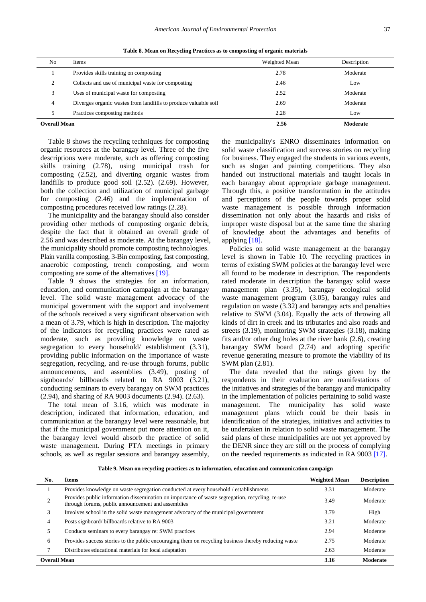**Table 8. Mean on Recycling Practices as to composting of organic materials**

| No                  | Items                                                           | Weighted Mean | Description |
|---------------------|-----------------------------------------------------------------|---------------|-------------|
|                     | Provides skills training on composting                          | 2.78          | Moderate    |
|                     | Collects and use of municipal waste for composting              | 2.46          | Low         |
|                     | Uses of municipal waste for composting                          | 2.52          | Moderate    |
| 4                   | Diverges organic wastes from landfills to produce valuable soil | 2.69          | Moderate    |
|                     | Practices composting methods                                    | 2.28          | Low         |
| <b>Overall Mean</b> |                                                                 | 2.56          | Moderate    |

Table 8 shows the recycling techniques for composting organic resources at the barangay level. Three of the five descriptions were moderate, such as offering composting skills training (2.78), using municipal trash for composting (2.52), and diverting organic wastes from landfills to produce good soil (2.52). (2.69). However, both the collection and utilization of municipal garbage for composting (2.46) and the implementation of composting procedures received low ratings (2.28).

The municipality and the barangay should also consider providing other methods of composting organic debris, despite the fact that it obtained an overall grade of 2.56 and was described as moderate. At the barangay level, the municipality should promote composting technologies. Plain vanilla composting, 3-Bin composting, fast composting, anaerobic composting, trench composting, and worm composting are some of the alternatives [\[19\].](#page-11-11)

Table 9 shows the strategies for an information, education, and communication campaign at the barangay level. The solid waste management advocacy of the municipal government with the support and involvement of the schools received a very significant observation with a mean of 3.79, which is high in description. The majority of the indicators for recycling practices were rated as moderate, such as providing knowledge on waste segregation to every household/ establishment (3.31), providing public information on the importance of waste segregation, recycling, and re-use through forums, public announcements, and assemblies (3.49), posting of signboards/ billboards related to RA 9003 (3.21), conducting seminars to every barangay on SWM practices (2.94), and sharing of RA 9003 documents (2.94). (2.63).

The total mean of 3.16, which was moderate in description, indicated that information, education, and communication at the barangay level were reasonable, but that if the municipal government put more attention on it, the barangay level would absorb the practice of solid waste management. During PTA meetings in primary schools, as well as regular sessions and barangay assembly,

the municipality's ENRO disseminates information on solid waste classification and success stories on recycling for business. They engaged the students in various events, such as slogan and painting competitions. They also handed out instructional materials and taught locals in each barangay about appropriate garbage management. Through this, a positive transformation in the attitudes and perceptions of the people towards proper solid waste management is possible through information dissemination not only about the hazards and risks of improper waste disposal but at the same time the sharing of knowledge about the advantages and benefits of applyin[g \[18\].](#page-11-10)

Policies on solid waste management at the barangay level is shown in Table 10. The recycling practices in terms of existing SWM policies at the barangay level were all found to be moderate in description. The respondents rated moderate in description the barangay solid waste management plan (3.35), barangay ecological solid waste management program (3.05), barangay rules and regulation on waste (3.32) and barangay acts and penalties relative to SWM (3.04). Equally the acts of throwing all kinds of dirt in creek and its tributaries and also roads and streets (3.19), monitoring SWM strategies (3.18), making fits and/or other dug holes at the river bank (2.6), creating barangay SWM board (2.74) and adopting specific revenue generating measure to promote the viability of its SWM plan (2.81).

The data revealed that the ratings given by the respondents in their evaluation are manifestations of the initiatives and strategies of the barangay and municipality in the implementation of policies pertaining to solid waste management. The municipality has solid waste management plans which could be their basis in identification of the strategies, initiatives and activities to be undertaken in relation to solid waste management. The said plans of these municipalities are not yet approved by the DENR since they are still on the process of complying on the needed requirements as indicated in RA 9003 [\[17\].](#page-11-9)

**Table 9. Mean on recycling practices as to information, education and communication campaign**

| No.                 | <b>Items</b>                                                                                                                                          | <b>Weighted Mean</b> | <b>Description</b> |
|---------------------|-------------------------------------------------------------------------------------------------------------------------------------------------------|----------------------|--------------------|
|                     | Provides knowledge on waste segregation conducted at every household / establishments                                                                 | 3.31                 | Moderate           |
|                     | Provides public information dissemination on importance of waste segregation, recycling, re-use<br>through forums, public announcement and assemblies | 3.49                 | Moderate           |
| 3                   | Involves school in the solid waste management advocacy of the municipal government                                                                    | 3.79                 | High               |
|                     | Posts signboard/billboards relative to RA 9003                                                                                                        | 3.21                 | Moderate           |
|                     | Conducts seminars to every barangay re: SWM practices                                                                                                 | 2.94                 | Moderate           |
| 6                   | Provides success stories to the public encouraging them on recycling business thereby reducing waste                                                  | 2.75                 | Moderate           |
|                     | Distributes educational materials for local adaptation                                                                                                | 2.63                 | Moderate           |
| <b>Overall Mean</b> |                                                                                                                                                       | 3.16                 | Moderate           |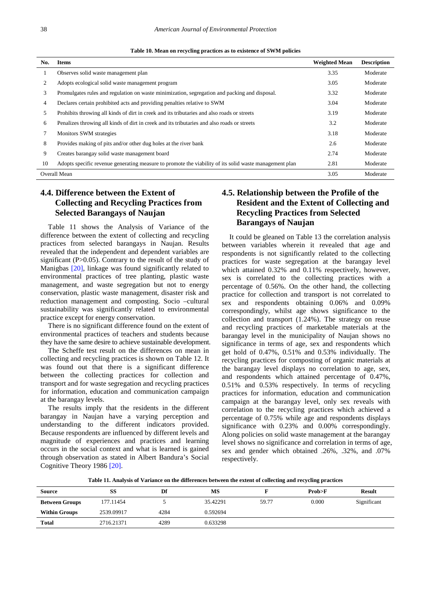|                | Table 10. Mean on recycling practices as to existence of SWM policies                                  |                      |                    |  |  |  |  |  |
|----------------|--------------------------------------------------------------------------------------------------------|----------------------|--------------------|--|--|--|--|--|
| No.            | <b>Items</b>                                                                                           | <b>Weighted Mean</b> | <b>Description</b> |  |  |  |  |  |
| 1              | Observes solid waste management plan                                                                   | 3.35                 | Moderate           |  |  |  |  |  |
| 2              | Adopts ecological solid waste management program                                                       | 3.05                 | Moderate           |  |  |  |  |  |
| 3              | Promulgates rules and regulation on waste minimization, segregation and packing and disposal.          | 3.32                 | Moderate           |  |  |  |  |  |
| $\overline{4}$ | Declares certain prohibited acts and providing penalties relative to SWM                               | 3.04                 | Moderate           |  |  |  |  |  |
| 5              | Prohibits throwing all kinds of dirt in creek and its tributaries and also roads or streets            | 3.19                 | Moderate           |  |  |  |  |  |
| 6              | Penalizes throwing all kinds of dirt in creek and its tributaries and also roads or streets            | 3.2                  | Moderate           |  |  |  |  |  |
| 7              | Monitors SWM strategies                                                                                | 3.18                 | Moderate           |  |  |  |  |  |
| 8              | Provides making of pits and/or other dug holes at the river bank                                       | 2.6                  | Moderate           |  |  |  |  |  |
| 9              | Creates barangay solid waste management board                                                          | 2.74                 | Moderate           |  |  |  |  |  |
| 10             | Adopts specific revenue generating measure to promote the viability of its solid waste management plan | 2.81                 | Moderate           |  |  |  |  |  |

Overall Mean 3.05 Moderate New York 2012 12:30 Moderate New York 2013 12:30 Moderate New York 2013 12:30 Moderate

## **4.4. Difference between the Extent of Collecting and Recycling Practices from Selected Barangays of Naujan**

Table 11 shows the Analysis of Variance of the difference between the extent of collecting and recycling practices from selected barangays in Naujan. Results revealed that the independent and dependent variables are significant  $(P>0.05)$ . Contrary to the result of the study of Manigbas [\[20\],](#page-11-12) linkage was found significantly related to environmental practices of tree planting, plastic waste management, and waste segregation but not to energy conservation, plastic waste management, disaster risk and reduction management and composting. Socio –cultural sustainability was significantly related to environmental practice except for energy conservation.

There is no significant difference found on the extent of environmental practices of teachers and students because they have the same desire to achieve sustainable development.

The Scheffe test result on the differences on mean in collecting and recycling practices is shown on Table 12. It was found out that there is a significant difference between the collecting practices for collection and transport and for waste segregation and recycling practices for information, education and communication campaign at the barangay levels.

The results imply that the residents in the different barangay in Naujan have a varying perception and understanding to the different indicators provided. Because respondents are influenced by different levels and magnitude of experiences and practices and learning occurs in the social context and what is learned is gained through observation as stated in Albert Bandura's Social Cognitive Theory 1986 [\[20\].](#page-11-12)

## **4.5. Relationship between the Profile of the Resident and the Extent of Collecting and Recycling Practices from Selected Barangays of Naujan**

It could be gleaned on Table 13 the correlation analysis between variables wherein it revealed that age and respondents is not significantly related to the collecting practices for waste segregation at the barangay level which attained 0.32% and 0.11% respectively, however, sex is correlated to the collecting practices with a percentage of 0.56%. On the other hand, the collecting practice for collection and transport is not correlated to sex and respondents obtaining 0.06% and 0.09% correspondingly, whilst age shows significance to the collection and transport (1.24%). The strategy on reuse and recycling practices of marketable materials at the barangay level in the municipality of Naujan shows no significance in terms of age, sex and respondents which get hold of 0.47%, 0.51% and 0.53% individually. The recycling practices for composting of organic materials at the barangay level displays no correlation to age, sex, and respondents which attained percentage of 0.47%, 0.51% and 0.53% respectively. In terms of recycling practices for information, education and communication campaign at the barangay level, only sex reveals with correlation to the recycling practices which achieved a percentage of 0.75% while age and respondents displays significance with 0.23% and 0.00% correspondingly. Along policies on solid waste management at the barangay level shows no significance and correlation in terms of age, sex and gender which obtained .26%, .32%, and .07% respectively.

**Table 11. Analysis of Variance on the differences between the extent of collecting and recycling practices**

| Source                | SS         | Df   | MS       |       | Prob>F | <b>Result</b> |
|-----------------------|------------|------|----------|-------|--------|---------------|
| <b>Between Groups</b> | 177.11454  |      | 35.42291 | 59.77 | 0.000  | Significant   |
| <b>Within Groups</b>  | 2539.09917 | 4284 | 0.592694 |       |        |               |
| <b>Total</b>          | 2716.21371 | 4289 | 0.633298 |       |        |               |
|                       |            |      |          |       |        |               |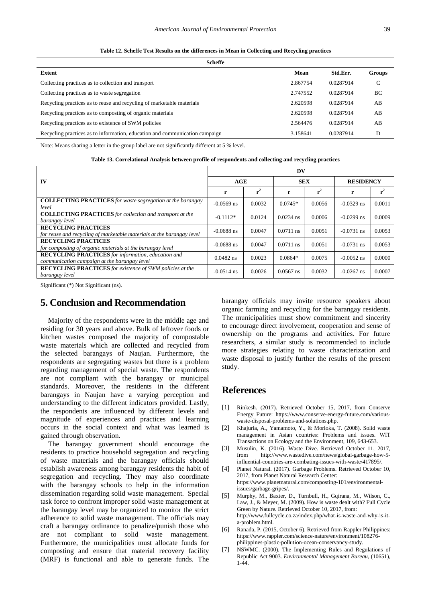| Scheffe                                                                     |          |           |        |  |  |
|-----------------------------------------------------------------------------|----------|-----------|--------|--|--|
| Extent                                                                      | Mean     | Std.Err.  | Groups |  |  |
| Collecting practices as to collection and transport                         | 2.867754 | 0.0287914 | C      |  |  |
| Collecting practices as to waste segregation                                | 2.747552 | 0.0287914 | BC     |  |  |
| Recycling practices as to reuse and recycling of marketable materials       | 2.620598 | 0.0287914 | AB     |  |  |
| Recycling practices as to composting of organic materials                   | 2.620598 | 0.0287914 | AB     |  |  |
| Recycling practices as to existence of SWM policies                         | 2.564476 | 0.0287914 | AB     |  |  |
| Recycling practices as to information, education and communication campaign | 3.158641 | 0.0287914 | D      |  |  |

**Table 12. Scheffe Test Results on the differences in Mean in Collecting and Recycling practices**

Note: Means sharing a letter in the group label are not significantly different at 5 % level.

|                                                                                                           | DV           |        |             |        |                  |        |  |
|-----------------------------------------------------------------------------------------------------------|--------------|--------|-------------|--------|------------------|--------|--|
| IV                                                                                                        | AGE          |        | <b>SEX</b>  |        | <b>RESIDENCY</b> |        |  |
|                                                                                                           | r            | $r^2$  | r           |        | r                |        |  |
| <b>COLLECTING PRACTICES</b> for waste segregation at the barangay<br>level                                | $-0.0569$ ns | 0.0032 | $0.0745*$   | 0.0056 | $-0.0329$ ns     | 0.0011 |  |
| <b>COLLECTING PRACTICES</b> for collection and transport at the<br>barangay level                         | $-0.1112*$   | 0.0124 | $0.0234$ ns | 0.0006 | $-0.0299$ ns     | 0.0009 |  |
| <b>RECYCLING PRACTICES</b><br>for reuse and recycling of marketable materials at the barangay level       | $-0.0688$ ns | 0.0047 | $0.0711$ ns | 0.0051 | $-0.0731$ ns     | 0.0053 |  |
| <b>RECYCLING PRACTICES</b><br>for composting of organic materials at the barangay level                   | $-0.0688$ ns | 0.0047 | $0.0711$ ns | 0.0051 | $-0.0731$ ns     | 0.0053 |  |
| <b>RECYCLING PRACTICES</b> for information, education and<br>communication campaign at the barangay level | $0.0482$ ns  | 0.0023 | $0.0864*$   | 0.0075 | $-0.0052$ ns     | 0.0000 |  |
| <b>RECYCLING PRACTICES</b> for existence of SWM policies at the<br>barangay level                         | $-0.0514$ ns | 0.0026 | $0.0567$ ns | 0.0032 | $-0.0267$ ns     | 0.0007 |  |

| Table 13. Correlational Analysis between profile of respondents and collecting and recycling practices |  |  |  |
|--------------------------------------------------------------------------------------------------------|--|--|--|
|--------------------------------------------------------------------------------------------------------|--|--|--|

Significant (\*) Not Significant (ns).

## **5. Conclusion and Recommendation**

Majority of the respondents were in the middle age and residing for 30 years and above. Bulk of leftover foods or kitchen wastes composed the majority of compostable waste materials which are collected and recycled from the selected barangays of Naujan. Furthermore, the respondents are segregating wastes but there is a problem regarding management of special waste. The respondents are not compliant with the barangay or municipal standards. Moreover, the residents in the different barangays in Naujan have a varying perception and understanding to the different indicators provided. Lastly, the respondents are influenced by different levels and magnitude of experiences and practices and learning occurs in the social context and what was learned is gained through observation.

The barangay government should encourage the residents to practice household segregation and recycling of waste materials and the barangay officials should establish awareness among barangay residents the habit of segregation and recycling. They may also coordinate with the barangay schools to help in the information dissemination regarding solid waste management. Special task force to confront improper solid waste management at the barangay level may be organized to monitor the strict adherence to solid waste management. The officials may craft a barangay ordinance to penalize/punish those who are not compliant to solid waste management. Furthermore, the municipalities must allocate funds for composting and ensure that material recovery facility (MRF) is functional and able to generate funds. The barangay officials may invite resource speakers about organic farming and recycling for the barangay residents. The municipalities must show commitment and sincerity to encourage direct involvement, cooperation and sense of ownership on the programs and activities. For future researchers, a similar study is recommended to include more strategies relating to waste characterization and waste disposal to justify further the results of the present study.

## **References**

- <span id="page-10-0"></span>[1] Rinkesh. (2017). Retrieved October 15, 2017, from Conserve Energy Future: https://www.conserve-energy-future.com/variouswaste-disposal-problems-and-solutions.php.
- <span id="page-10-1"></span>[2] Khajuria, A., Yamamoto, Y., & Morioka, T. (2008). Solid waste management in Asian countries: Problems and issues. WIT Transactions on Ecology and the Environment, 109, 643-653.
- <span id="page-10-2"></span>[3] Musulin, K. (2016). Waste Dive. Retrieved October 11, 2017, from http://www.wastedive.com/news/global-garbage-how-5 influential-countries-are-combating-issues-with-waste/417895/.
- <span id="page-10-3"></span>[4] Planet Natural. (2017). Garbage Problems. Retrieved October 10, 2017, from Planet Natural Research Center: https://www.planetnatural.com/composting-101/environmentalissues/garbage-gripes/.
- <span id="page-10-4"></span>[5] Murphy, M., Baxter, D., Turnbull, H., Gqirana, M., Wilson, C., Law, J., & Meyer, M. (2009). How is waste dealt with? Full Cycle Green by Nature. Retrieved October 10, 2017, from: http://www.fullcycle.co.za/index.php/what-is-waste-and-why-is-ita-problem.html.
- <span id="page-10-5"></span>[6] Ranada, P. (2015, October 6). Retrieved from Rappler Philippines: https://www.rappler.com/science-nature/environment/108276 philippines-plastic-pollution-ocean-conservancy-study.
- <span id="page-10-6"></span>[7] NSWMC. (2000). The Implementing Rules and Regulations of Republic Act 9003. *Environmental Management Bureau*, (10651), 1-44.